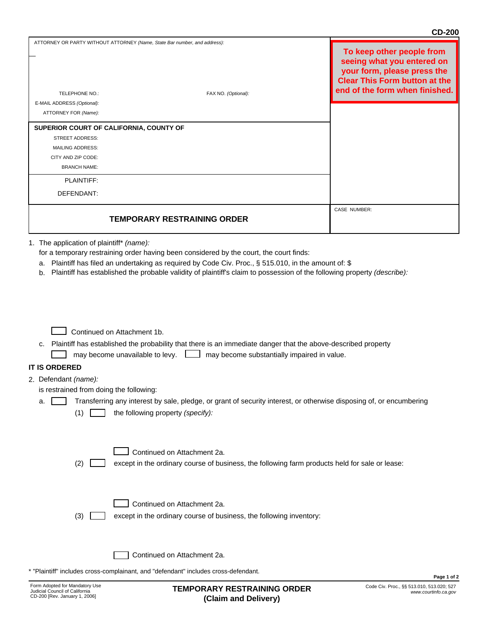|                                                                                                                                                                                                                                                                                                                                                                            | <b>CD-200</b>                                                                                                                                                    |  |  |  |
|----------------------------------------------------------------------------------------------------------------------------------------------------------------------------------------------------------------------------------------------------------------------------------------------------------------------------------------------------------------------------|------------------------------------------------------------------------------------------------------------------------------------------------------------------|--|--|--|
| ATTORNEY OR PARTY WITHOUT ATTORNEY (Name, State Bar number, and address):<br>TELEPHONE NO.:<br>FAX NO. (Optional):                                                                                                                                                                                                                                                         | To keep other people from<br>seeing what you entered on<br>your form, please press the<br><b>Clear This Form button at the</b><br>end of the form when finished. |  |  |  |
| E-MAIL ADDRESS (Optional):                                                                                                                                                                                                                                                                                                                                                 |                                                                                                                                                                  |  |  |  |
| ATTORNEY FOR (Name):                                                                                                                                                                                                                                                                                                                                                       |                                                                                                                                                                  |  |  |  |
| SUPERIOR COURT OF CALIFORNIA, COUNTY OF<br><b>STREET ADDRESS:</b><br><b>MAILING ADDRESS:</b><br>CITY AND ZIP CODE:                                                                                                                                                                                                                                                         |                                                                                                                                                                  |  |  |  |
| <b>BRANCH NAME:</b>                                                                                                                                                                                                                                                                                                                                                        |                                                                                                                                                                  |  |  |  |
|                                                                                                                                                                                                                                                                                                                                                                            |                                                                                                                                                                  |  |  |  |
| PLAINTIFF:<br>DEFENDANT:                                                                                                                                                                                                                                                                                                                                                   |                                                                                                                                                                  |  |  |  |
|                                                                                                                                                                                                                                                                                                                                                                            | CASE NUMBER:                                                                                                                                                     |  |  |  |
| <b>TEMPORARY RESTRAINING ORDER</b>                                                                                                                                                                                                                                                                                                                                         |                                                                                                                                                                  |  |  |  |
|                                                                                                                                                                                                                                                                                                                                                                            |                                                                                                                                                                  |  |  |  |
| Plaintiff has established the probable validity of plaintiff's claim to possession of the following property (describe):<br>b.<br>Continued on Attachment 1b.<br>c. Plaintiff has established the probability that there is an immediate danger that the above-described property<br>may become unavailable to levy. $\Box$<br>may become substantially impaired in value. |                                                                                                                                                                  |  |  |  |
| <b>IT IS ORDERED</b>                                                                                                                                                                                                                                                                                                                                                       |                                                                                                                                                                  |  |  |  |
| 2. Defendant (name):                                                                                                                                                                                                                                                                                                                                                       |                                                                                                                                                                  |  |  |  |
| is restrained from doing the following:                                                                                                                                                                                                                                                                                                                                    |                                                                                                                                                                  |  |  |  |
| Transferring any interest by sale, pledge, or grant of security interest, or otherwise disposing of, or encumbering<br>a.<br>the following property (specify):<br>(1)                                                                                                                                                                                                      |                                                                                                                                                                  |  |  |  |
| Continued on Attachment 2a.<br>(2)<br>except in the ordinary course of business, the following farm products held for sale or lease:                                                                                                                                                                                                                                       |                                                                                                                                                                  |  |  |  |
| Continued on Attachment 2a.<br>except in the ordinary course of business, the following inventory:<br>(3)                                                                                                                                                                                                                                                                  |                                                                                                                                                                  |  |  |  |
| Continued on Attachment 2a.                                                                                                                                                                                                                                                                                                                                                |                                                                                                                                                                  |  |  |  |

\* "Plaintiff" includes cross-complainant, and "defendant" includes cross-defendant.